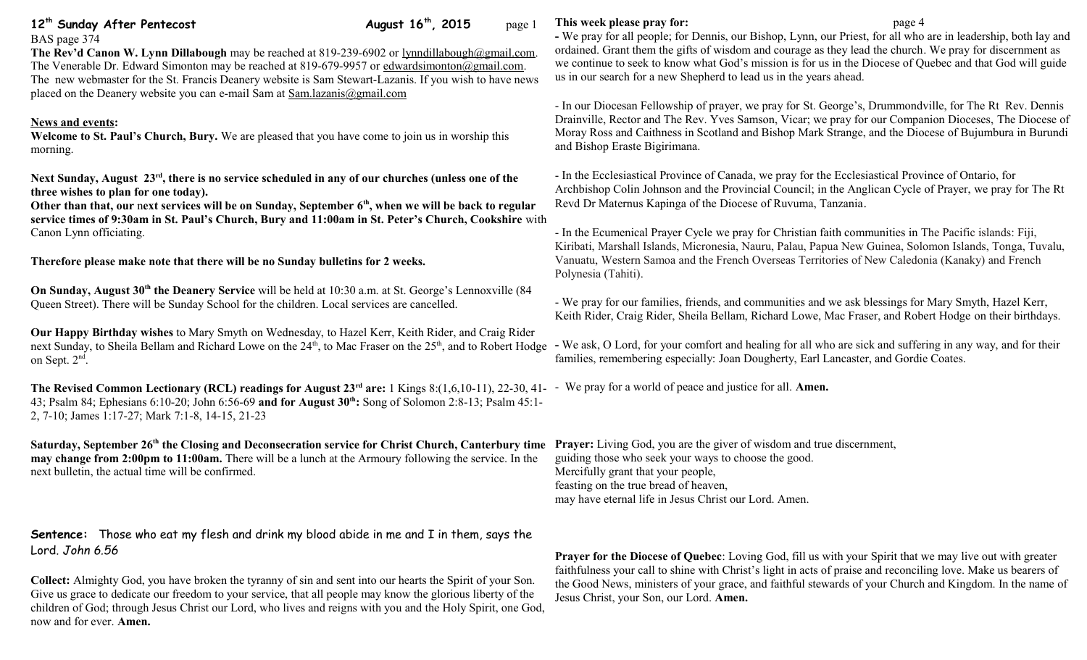| BAS page 374                                                                                                    |
|-----------------------------------------------------------------------------------------------------------------|
| <b>The Rev'd Canon W. Lynn Dillabough</b> may be reached at 819-239-6902 or lynn dillabough $\omega$ gmail.com. |
| The Venerable Dr. Edward Simonton may be reached at 819-679-9957 or edwardsimonton@gmail.com.                   |
| The new webmaster for the St. Francis Deanery website is Sam Stewart-Lazanis. If you wish to have news          |
| placed on the Deanery website you can e-mail Sam at $Sam.lazanis@gmail.com$                                     |

**12<sup>th</sup> Sunday After Pentecost August 16<sup>th</sup>, 2015** page 1

## **News and events:**

**Welcome to St. Paul's Church, Bury.** We are pleased that you have come to join us in worship this morning.

**Next Sunday, August 23rd, there is no service scheduled in any of our churches (unless one of the three wishes to plan for one today).** 

**Other than that, our** n**ext services will be on Sunday, September 6th, when we will be back to regular service times of 9:30am in St. Paul's Church, Bury and 11:00am in St. Peter's Church, Cookshire** with Canon Lynn officiating.

**Therefore please make note that there will be no Sunday bulletins for 2 weeks.**

**On Sunday, August 30<sup>th</sup> the Deanery Service** will be held at 10:30 a.m. at St. George's Lennoxville (84 Queen Street). There will be Sunday School for the children. Local services are cancelled.

**Our Happy Birthday wishes** to Mary Smyth on Wednesday, to Hazel Kerr, Keith Rider, and Craig Rider next Sunday, to Sheila Bellam and Richard Lowe on the 24<sup>th</sup>, to Mac Fraser on the 25<sup>th</sup>, and to Robert Hodge - We ask, O Lord, for your comfort and healing for all who are sick and suffering in any way, and for their on Sept. 2<sup>nd</sup>.

**The Revised Common Lectionary (RCL) readings for August 23rd are:** 1 Kings 8:(1,6,10-11), 22-30, 41- - We pray for a world of peace and justice for all. **Amen.** 43; Psalm 84; Ephesians 6:10-20; John 6:56-69 **and for August 30th:** Song of Solomon 2:8-13; Psalm 45:1- 2, 7-10; James 1:17-27; Mark 7:1-8, 14-15, 21-23

Saturday, September 26<sup>th</sup> the Closing and Deconsecration service for Christ Church, Canterbury time Prayer: Living God, you are the giver of wisdom and true discernment, **may change from 2:00pm to 11:00am.** There will be a lunch at the Armoury following the service. In the next bulletin, the actual time will be confirmed.

**Sentence:** Those who eat my flesh and drink my blood abide in me and I in them, says the Lord. *John 6.56*

**Collect:** Almighty God, you have broken the tyranny of sin and sent into our hearts the Spirit of your Son. Give us grace to dedicate our freedom to your service, that all people may know the glorious liberty of the children of God; through Jesus Christ our Lord, who lives and reigns with you and the Holy Spirit, one God, now and for ever. **Amen.**

## **This week please pray for:**  $page 4$

**-** We pray for all people; for Dennis, our Bishop, Lynn, our Priest, for all who are in leadership, both lay and ordained. Grant them the gifts of wisdom and courage as they lead the church. We pray for discernment as we continue to seek to know what God's mission is for us in the Diocese of Quebec and that God will guide us in our search for a new Shepherd to lead us in the years ahead.

- In our Diocesan Fellowship of prayer, we pray for St. George's, Drummondville, for The Rt Rev. Dennis Drainville, Rector and The Rev. Yves Samson, Vicar; we pray for our Companion Dioceses, The Diocese of Moray Ross and Caithness in Scotland and Bishop Mark Strange, and the Diocese of Bujumbura in Burundi and Bishop Eraste Bigirimana.

- In the Ecclesiastical Province of Canada, we pray for the Ecclesiastical Province of Ontario, for Archbishop Colin Johnson and the Provincial Council; in the Anglican Cycle of Prayer, we pray for The Rt Revd Dr Maternus Kapinga of the Diocese of Ruvuma, Tanzania.

- In the Ecumenical Prayer Cycle we pray for Christian faith communities in The Pacific islands: Fiji, Kiribati, Marshall Islands, Micronesia, Nauru, Palau, Papua New Guinea, Solomon Islands, Tonga, Tuvalu, Vanuatu, Western Samoa and the French Overseas Territories of New Caledonia (Kanaky) and French Polynesia (Tahiti).

- We pray for our families, friends, and communities and we ask blessings for Mary Smyth, Hazel Kerr, Keith Rider, Craig Rider, Sheila Bellam, Richard Lowe, Mac Fraser, and Robert Hodge on their birthdays.

families, remembering especially: Joan Dougherty, Earl Lancaster, and Gordie Coates.

guiding those who seek your ways to choose the good. Mercifully grant that your people, feasting on the true bread of heaven, may have eternal life in Jesus Christ our Lord. Amen.

**Prayer for the Diocese of Quebec**: Loving God, fill us with your Spirit that we may live out with greater faithfulness your call to shine with Christ's light in acts of praise and reconciling love. Make us bearers of the Good News, ministers of your grace, and faithful stewards of your Church and Kingdom. In the name of Jesus Christ, your Son, our Lord. **Amen.**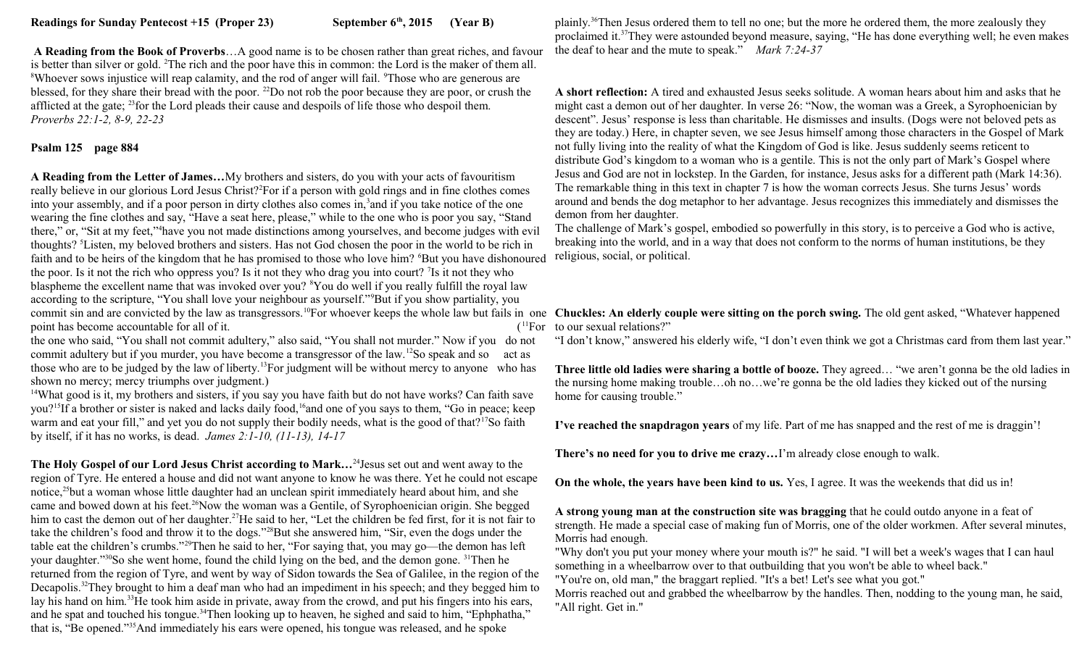**A Reading from the Book of Proverbs**…A good name is to be chosen rather than great riches, and favour is better than silver or gold. <sup>2</sup>The rich and the poor have this in common: the Lord is the maker of them all. <sup>8</sup>Whoever sows injustice will reap calamity, and the rod of anger will fail. <sup>9</sup>Those who are generous are blessed, for they share their bread with the poor. <sup>22</sup>Do not rob the poor because they are poor, or crush the afflicted at the gate; <sup>23</sup>for the Lord pleads their cause and despoils of life those who despoil them. *Proverbs 22:1-2, 8-9, 22-23*

## **Psalm 125 page 884**

**A Reading from the Letter of James…**My brothers and sisters, do you with your acts of favouritism really believe in our glorious Lord Jesus Christ?<sup>2</sup>For if a person with gold rings and in fine clothes comes into your assembly, and if a poor person in dirty clothes also comes in,<sup>3</sup> and if you take notice of the one wearing the fine clothes and say, "Have a seat here, please," while to the one who is poor you say, "Stand there," or, "Sit at my feet,"<sup>4</sup> have you not made distinctions among yourselves, and become judges with evil thoughts? <sup>5</sup>Listen, my beloved brothers and sisters. Has not God chosen the poor in the world to be rich in faith and to be heirs of the kingdom that he has promised to those who love him? <sup>6</sup>But you have dishonoured the poor. Is it not the rich who oppress you? Is it not they who drag you into court? <sup>7</sup> Is it not they who blaspheme the excellent name that was invoked over you? <sup>8</sup>You do well if you really fulfill the royal law according to the scripture, "You shall love your neighbour as yourself."<sup>9</sup>But if you show partiality, you commit sin and are convicted by the law as transgressors.<sup>10</sup>For whoever keeps the whole law but fails in one **Chuckles: An elderly couple were sitting on the porch swing.** The old gent asked, "Whatever happened point has become accountable for all of it.

the one who said, "You shall not commit adultery," also said, "You shall not murder." Now if you do not commit adultery but if you murder, you have become a transgressor of the law.<sup>12</sup>So speak and so act as those who are to be judged by the law of liberty.<sup>13</sup>For judgment will be without mercy to anyone who has shown no mercy; mercy triumphs over judgment.)

<sup>14</sup>What good is it, my brothers and sisters, if you say you have faith but do not have works? Can faith save you?<sup>15</sup>If a brother or sister is naked and lacks daily food,<sup>16</sup>and one of you says to them, "Go in peace; keep warm and eat your fill," and yet you do not supply their bodily needs, what is the good of that?<sup>17</sup>So faith by itself, if it has no works, is dead. *James 2:1-10, (11-13), 14-17*

**The Holy Gospel of our Lord Jesus Christ according to Mark…**<sup>24</sup>Jesus set out and went away to the region of Tyre. He entered a house and did not want anyone to know he was there. Yet he could not escape notice,<sup>25</sup>but a woman whose little daughter had an unclean spirit immediately heard about him, and she came and bowed down at his feet.<sup>26</sup>Now the woman was a Gentile, of Syrophoenician origin. She begged him to cast the demon out of her daughter.<sup>27</sup>He said to her, "Let the children be fed first, for it is not fair to take the children's food and throw it to the dogs."<sup>28</sup>But she answered him, "Sir, even the dogs under the table eat the children's crumbs."<sup>29</sup>Then he said to her, "For saying that, you may go—the demon has left your daughter."<sup>30</sup>So she went home, found the child lying on the bed, and the demon gone. <sup>31</sup>Then he returned from the region of Tyre, and went by way of Sidon towards the Sea of Galilee, in the region of the Decapolis.<sup>32</sup>They brought to him a deaf man who had an impediment in his speech; and they begged him to lay his hand on him.<sup>33</sup>He took him aside in private, away from the crowd, and put his fingers into his ears, and he spat and touched his tongue.<sup>34</sup>Then looking up to heaven, he sighed and said to him, "Ephphatha," that is, "Be opened."<sup>35</sup>And immediately his ears were opened, his tongue was released, and he spoke

plainly.<sup>36</sup>Then Jesus ordered them to tell no one; but the more he ordered them, the more zealously they proclaimed it.<sup>37</sup>They were astounded beyond measure, saying, "He has done everything well; he even makes the deaf to hear and the mute to speak." *Mark 7:24-37* 

**A short reflection:** A tired and exhausted Jesus seeks solitude. A woman hears about him and asks that he might cast a demon out of her daughter. In verse 26: "Now, the woman was a Greek, a Syrophoenician by descent". Jesus' response is less than charitable. He dismisses and insults. (Dogs were not beloved pets as they are today.) Here, in chapter seven, we see Jesus himself among those characters in the Gospel of Mark not fully living into the reality of what the Kingdom of God is like. Jesus suddenly seems reticent to distribute God's kingdom to a woman who is a gentile. This is not the only part of Mark's Gospel where Jesus and God are not in lockstep. In the Garden, for instance, Jesus asks for a different path (Mark 14:36). The remarkable thing in this text in chapter 7 is how the woman corrects Jesus. She turns Jesus' words around and bends the dog metaphor to her advantage. Jesus recognizes this immediately and dismisses the demon from her daughter.

The challenge of Mark's gospel, embodied so powerfully in this story, is to perceive a God who is active, breaking into the world, and in a way that does not conform to the norms of human institutions, be they religious, social, or political.

 $t^{11}$ For to our sexual relations?"

"I don't know," answered his elderly wife, "I don't even think we got a Christmas card from them last year."

**Three little old ladies were sharing a bottle of booze.** They agreed… "we aren't gonna be the old ladies in the nursing home making trouble…oh no…we're gonna be the old ladies they kicked out of the nursing home for causing trouble."

**I've reached the snapdragon years** of my life. Part of me has snapped and the rest of me is draggin'!

**There's no need for you to drive me crazy…**I'm already close enough to walk.

**On the whole, the years have been kind to us.** Yes, I agree. It was the weekends that did us in!

**A strong young man at the construction site was bragging** that he could outdo anyone in a feat of strength. He made a special case of making fun of Morris, one of the older workmen. After several minutes, Morris had enough.

"Why don't you put your money where your mouth is?" he said. "I will bet a week's wages that I can haul something in a wheelbarrow over to that outbuilding that you won't be able to wheel back."

"You're on, old man," the braggart replied. "It's a bet! Let's see what you got."

Morris reached out and grabbed the wheelbarrow by the handles. Then, nodding to the young man, he said, "All right. Get in."